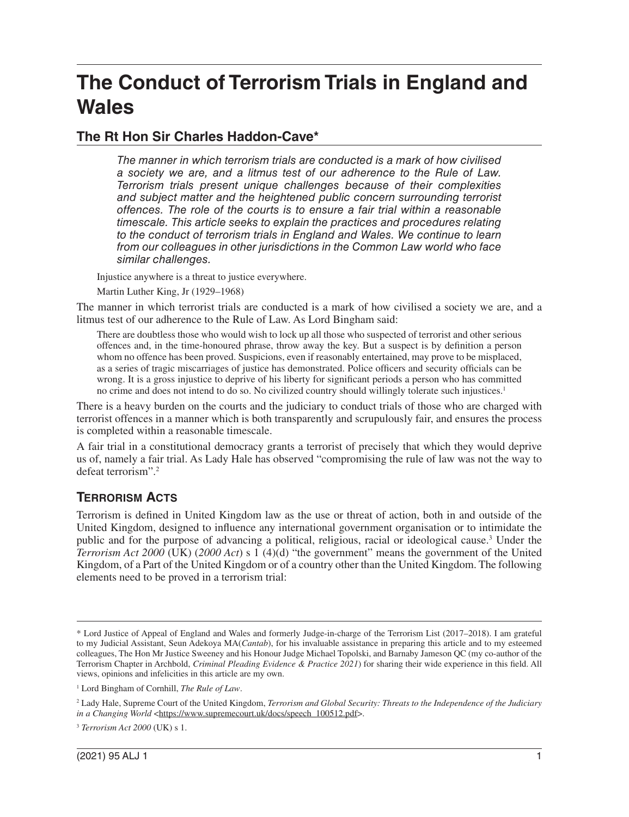# **The Conduct of Terrorism Trials in England and Wales**

# **The Rt Hon Sir Charles Haddon-Cave\***

*The manner in which terrorism trials are conducted is a mark of how civilised a society we are, and a litmus test of our adherence to the Rule of Law. Terrorism trials present unique challenges because of their complexities and subject matter and the heightened public concern surrounding terrorist offences. The role of the courts is to ensure a fair trial within a reasonable timescale. This article seeks to explain the practices and procedures relating to the conduct of terrorism trials in England and Wales. We continue to learn from our colleagues in other jurisdictions in the Common Law world who face similar challenges.* 

Injustice anywhere is a threat to justice everywhere.

Martin Luther King, Jr (1929–1968)

The manner in which terrorist trials are conducted is a mark of how civilised a society we are, and a litmus test of our adherence to the Rule of Law. As Lord Bingham said:

There are doubtless those who would wish to lock up all those who suspected of terrorist and other serious offences and, in the time-honoured phrase, throw away the key. But a suspect is by defnition a person whom no offence has been proved. Suspicions, even if reasonably entertained, may prove to be misplaced, as a series of tragic miscarriages of justice has demonstrated. Police offcers and security offcials can be wrong. It is a gross injustice to deprive of his liberty for signifcant periods a person who has committed no crime and does not intend to do so. No civilized country should willingly tolerate such injustices.<sup>1</sup>

There is a heavy burden on the courts and the judiciary to conduct trials of those who are charged with terrorist offences in a manner which is both transparently and scrupulously fair, and ensures the process is completed within a reasonable timescale.

A fair trial in a constitutional democracy grants a terrorist of precisely that which they would deprive us of, namely a fair trial. As Lady Hale has observed "compromising the rule of law was not the way to defeat terrorism".2

# **TERRORISM ACTS**

Terrorism is defned in United Kingdom law as the use or threat of action, both in and outside of the United Kingdom, designed to infuence any international government organisation or to intimidate the public and for the purpose of advancing a political, religious, racial or ideological cause.<sup>3</sup> Under the *Terrorism Act 2000* (UK) (*2000 Act*) s 1 (4)(d) "the government" means the government of the United Kingdom, of a Part of the United Kingdom or of a country other than the United Kingdom. The following elements need to be proved in a terrorism trial:

<sup>\*</sup> Lord Justice of Appeal of England and Wales and formerly Judge-in-charge of the Terrorism List (2017–2018). I am grateful to my Judicial Assistant, Seun Adekoya MA(*Cantab*), for his invaluable assistance in preparing this article and to my esteemed colleagues, The Hon Mr Justice Sweeney and his Honour Judge Michael Topolski, and Barnaby Jameson QC (my co-author of the Terrorism Chapter in Archbold, *Criminal Pleading Evidence & Practice 2021*) for sharing their wide experience in this feld. All views, opinions and infelicities in this article are my own.

<sup>1</sup> Lord Bingham of Cornhill, *The Rule of Law*.

<sup>2</sup> Lady Hale, Supreme Court of the United Kingdom, *Terrorism and Global Security: Threats to the Independence of the Judiciary in a Changing World* [<https://www.supremecourt.uk/docs/speech\\_100512.pdf](https://www.supremecourt.uk/docs/speech_100512.pdf)>.

<sup>3</sup>*Terrorism Act 2000* (UK) s 1.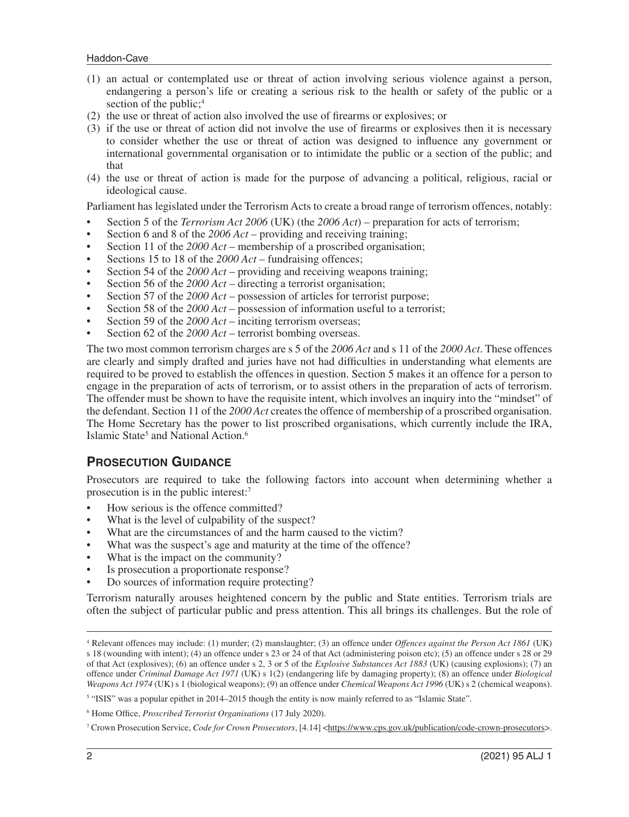- (1) an actual or contemplated use or threat of action involving serious violence against a person, endangering a person's life or creating a serious risk to the health or safety of the public or a section of the public;<sup>4</sup>
- (2) the use or threat of action also involved the use of frearms or explosives; or
- (3) if the use or threat of action did not involve the use of frearms or explosives then it is necessary to consider whether the use or threat of action was designed to infuence any government or international governmental organisation or to intimidate the public or a section of the public; and that
- (4) the use or threat of action is made for the purpose of advancing a political, religious, racial or ideological cause.

Parliament has legislated under the Terrorism Acts to create a broad range of terrorism offences, notably:

- Section 5 of the *Terrorism Act 2006* (UK) (the *2006 Act*) preparation for acts of terrorism;
- Section 6 and 8 of the *2006 Act* providing and receiving training;
- Section 11 of the *2000 Act* membership of a proscribed organisation;
- Sections 15 to 18 of the *2000 Act* fundraising offences;
- Section 54 of the *2000 Act* providing and receiving weapons training;
- Section 56 of the *2000 Act* directing a terrorist organisation;
- Section 57 of the *2000 Act* possession of articles for terrorist purpose;
- Section 58 of the *2000 Act* possession of information useful to a terrorist;
- Section 59 of the 2000 Act inciting terrorism overseas;
- Section 62 of the 2000 Act terrorist bombing overseas.

The two most common terrorism charges are s 5 of the *2006 Act* and s 11 of the *2000 Act*. These offences are clearly and simply drafted and juries have not had diffculties in understanding what elements are required to be proved to establish the offences in question. Section 5 makes it an offence for a person to engage in the preparation of acts of terrorism, or to assist others in the preparation of acts of terrorism. The offender must be shown to have the requisite intent, which involves an inquiry into the "mindset" of the defendant. Section 11 of the *2000 Act* creates the offence of membership of a proscribed organisation. The Home Secretary has the power to list proscribed organisations, which currently include the IRA, Islamic State<sup>5</sup> and National Action.<sup>6</sup>

### **PROSECUTION GUIDANCE**

Prosecutors are required to take the following factors into account when determining whether a prosecution is in the public interest:7

- How serious is the offence committed?
- What is the level of culpability of the suspect?
- What are the circumstances of and the harm caused to the victim?
- What was the suspect's age and maturity at the time of the offence?
- What is the impact on the community?
- Is prosecution a proportionate response?
- Do sources of information require protecting?

Terrorism naturally arouses heightened concern by the public and State entities. Terrorism trials are often the subject of particular public and press attention. This all brings its challenges. But the role of

<sup>4</sup> Relevant offences may include: (1) murder; (2) manslaughter; (3) an offence under *Offences against the Person Act 1861* (UK) s 18 (wounding with intent); (4) an offence under s 23 or 24 of that Act (administering poison etc); (5) an offence under s 28 or 29 of that Act (explosives); (6) an offence under s 2, 3 or 5 of the *Explosive Substances Act 1883* (UK) (causing explosions); (7) an offence under *Criminal Damage Act 1971* (UK) s 1(2) (endangering life by damaging property); (8) an offence under *Biological Weapons Act 1974* (UK) s 1 (biological weapons); (9) an offence under *Chemical Weapons Act 1996* (UK) s 2 (chemical weapons).

<sup>&</sup>lt;sup>5</sup> "ISIS" was a popular epithet in 2014–2015 though the entity is now mainly referred to as "Islamic State".

<sup>6</sup> Home Offce, *Proscribed Terrorist Organisations* (17 July 2020).

<sup>7</sup> Crown Prosecution Service, *Code for Crown Prosecutors*, [4.14] [<https://www.cps.gov.uk/publication/code-crown-prosecutors>](https://www.cps.gov.uk/publication/code-crown-prosecutors).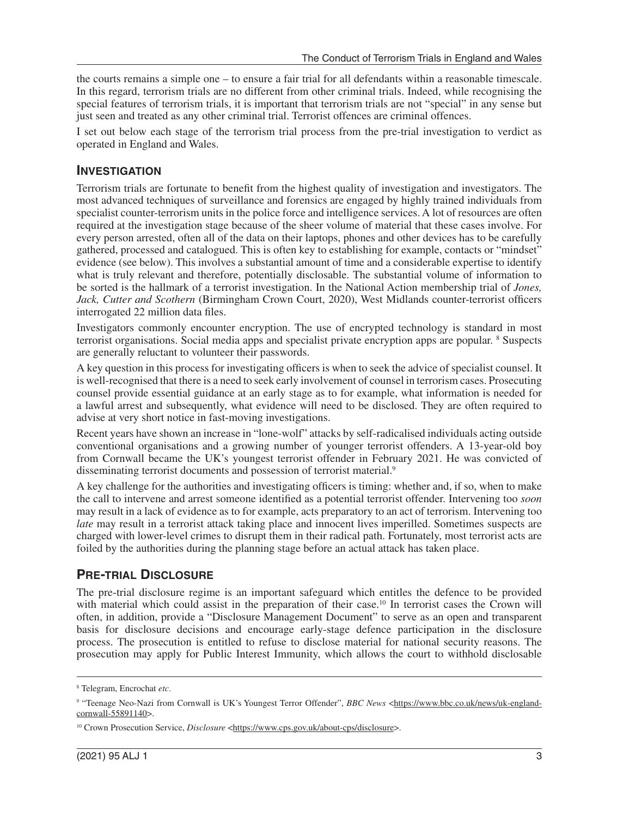the courts remains a simple one – to ensure a fair trial for all defendants within a reasonable timescale. In this regard, terrorism trials are no different from other criminal trials. Indeed, while recognising the special features of terrorism trials, it is important that terrorism trials are not "special" in any sense but just seen and treated as any other criminal trial. Terrorist offences are criminal offences.

I set out below each stage of the terrorism trial process from the pre-trial investigation to verdict as operated in England and Wales.

#### **INVESTIGATION**

Terrorism trials are fortunate to beneft from the highest quality of investigation and investigators. The most advanced techniques of surveillance and forensics are engaged by highly trained individuals from specialist counter-terrorism units in the police force and intelligence services. A lot of resources are often required at the investigation stage because of the sheer volume of material that these cases involve. For every person arrested, often all of the data on their laptops, phones and other devices has to be carefully gathered, processed and catalogued. This is often key to establishing for example, contacts or "mindset" evidence (see below). This involves a substantial amount of time and a considerable expertise to identify what is truly relevant and therefore, potentially disclosable. The substantial volume of information to be sorted is the hallmark of a terrorist investigation. In the National Action membership trial of *Jones, Jack, Cutter and Scothern* (Birmingham Crown Court, 2020), West Midlands counter-terrorist offcers interrogated 22 million data fles.

Investigators commonly encounter encryption. The use of encrypted technology is standard in most terrorist organisations. Social media apps and specialist private encryption apps are popular. <sup>8</sup> Suspects are generally reluctant to volunteer their passwords.

A key question in this process for investigating officers is when to seek the advice of specialist counsel. It is well-recognised that there is a need to seek early involvement of counsel in terrorism cases. Prosecuting counsel provide essential guidance at an early stage as to for example, what information is needed for a lawful arrest and subsequently, what evidence will need to be disclosed. They are often required to advise at very short notice in fast-moving investigations.

Recent years have shown an increase in "lone-wolf" attacks by self-radicalised individuals acting outside conventional organisations and a growing number of younger terrorist offenders. A 13-year-old boy from Cornwall became the UK's youngest terrorist offender in February 2021. He was convicted of disseminating terrorist documents and possession of terrorist material.<sup>9</sup>

A key challenge for the authorities and investigating offcers is timing: whether and, if so, when to make the call to intervene and arrest someone identifed as a potential terrorist offender. Intervening too *soon*  may result in a lack of evidence as to for example, acts preparatory to an act of terrorism. Intervening too *late* may result in a terrorist attack taking place and innocent lives imperilled. Sometimes suspects are charged with lower-level crimes to disrupt them in their radical path. Fortunately, most terrorist acts are foiled by the authorities during the planning stage before an actual attack has taken place.

# **PRE-TRIAL DISCLOSURE**

The pre-trial disclosure regime is an important safeguard which entitles the defence to be provided with material which could assist in the preparation of their case.<sup>10</sup> In terrorist cases the Crown will often, in addition, provide a "Disclosure Management Document" to serve as an open and transparent basis for disclosure decisions and encourage early-stage defence participation in the disclosure process. The prosecution is entitled to refuse to disclose material for national security reasons. The prosecution may apply for Public Interest Immunity, which allows the court to withhold disclosable

<sup>8</sup> Telegram, Encrochat *etc*.

<sup>&</sup>lt;sup>9</sup> "Teenage Neo-Nazi from Cornwall is UK's Youngest Terror Offender", *BBC News* <[https://www.bbc.co.uk/news/uk-england](https://www.bbc.co.uk/news/uk-england-cornwall-55891140)[cornwall-55891140>](https://www.bbc.co.uk/news/uk-england-cornwall-55891140).

<sup>&</sup>lt;sup>10</sup> Crown Prosecution Service, *Disclosure* <[https://www.cps.gov.uk/about-cps/disclosure>](https://www.cps.gov.uk/about-cps/disclosure).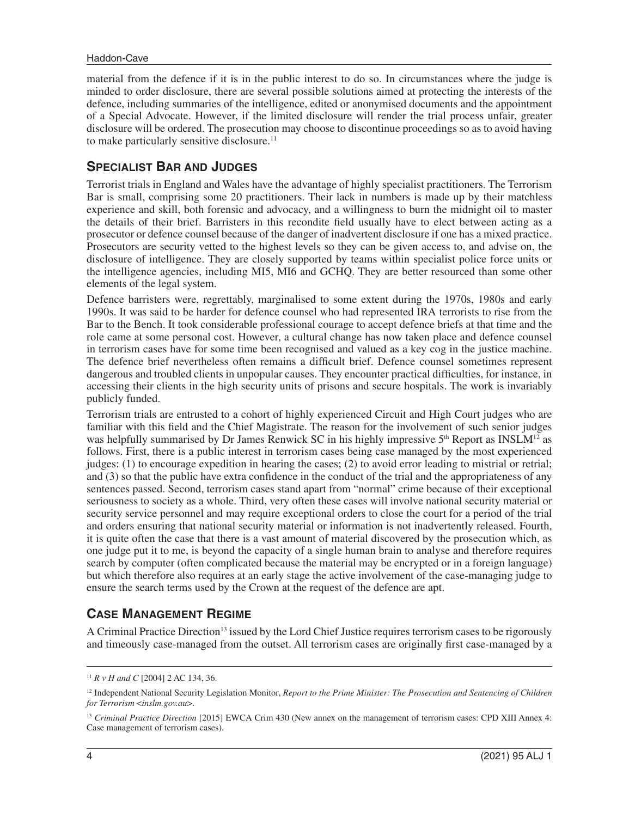#### Haddon-Cave

material from the defence if it is in the public interest to do so. In circumstances where the judge is minded to order disclosure, there are several possible solutions aimed at protecting the interests of the defence, including summaries of the intelligence, edited or anonymised documents and the appointment of a Special Advocate. However, if the limited disclosure will render the trial process unfair, greater disclosure will be ordered. The prosecution may choose to discontinue proceedings so as to avoid having to make particularly sensitive [disclosure.11](https://disclosure.11) 

## **SPECIALIST BAR AND JUDGES**

Terrorist trials in England and Wales have the advantage of highly specialist practitioners. The Terrorism Bar is small, comprising some 20 practitioners. Their lack in numbers is made up by their matchless experience and skill, both forensic and advocacy, and a willingness to burn the midnight oil to master the details of their brief. Barristers in this recondite feld usually have to elect between acting as a prosecutor or defence counsel because of the danger of inadvertent disclosure if one has a mixed practice. Prosecutors are security vetted to the highest levels so they can be given access to, and advise on, the disclosure of intelligence. They are closely supported by teams within specialist police force units or the intelligence agencies, including MI5, MI6 and GCHQ. They are better resourced than some other elements of the legal system.

Defence barristers were, regrettably, marginalised to some extent during the 1970s, 1980s and early 1990s. It was said to be harder for defence counsel who had represented IRA terrorists to rise from the Bar to the Bench. It took considerable professional courage to accept defence briefs at that time and the role came at some personal cost. However, a cultural change has now taken place and defence counsel in terrorism cases have for some time been recognised and valued as a key cog in the justice machine. The defence brief nevertheless often remains a diffcult brief. Defence counsel sometimes represent dangerous and troubled clients in unpopular causes. They encounter practical diffculties, for instance, in accessing their clients in the high security units of prisons and secure hospitals. The work is invariably publicly funded.

Terrorism trials are entrusted to a cohort of highly experienced Circuit and High Court judges who are familiar with this feld and the Chief Magistrate. The reason for the involvement of such senior judges was helpfully summarised by Dr James Renwick SC in his highly impressive  $5<sup>th</sup>$  Report as INSLM<sup>12</sup> as follows. First, there is a public interest in terrorism cases being case managed by the most experienced judges:  $(1)$  to encourage expedition in hearing the cases;  $(2)$  to avoid error leading to mistrial or retrial; and (3) so that the public have extra confdence in the conduct of the trial and the appropriateness of any sentences passed. Second, terrorism cases stand apart from "normal" crime because of their exceptional seriousness to society as a whole. Third, very often these cases will involve national security material or security service personnel and may require exceptional orders to close the court for a period of the trial and orders ensuring that national security material or information is not inadvertently released. Fourth, it is quite often the case that there is a vast amount of material discovered by the prosecution which, as one judge put it to me, is beyond the capacity of a single human brain to analyse and therefore requires search by computer (often complicated because the material may be encrypted or in a foreign language) but which therefore also requires at an early stage the active involvement of the case-managing judge to ensure the search terms used by the Crown at the request of the defence are apt.

### **CASE MANAGEMENT REGIME**

A Criminal Practice Direction<sup>13</sup> issued by the Lord Chief Justice requires terrorism cases to be rigorously and timeously case-managed from the outset. All terrorism cases are originally frst case-managed by a

<sup>11</sup>*R v H and C* [2004] 2 AC 134, 36.

<sup>&</sup>lt;sup>12</sup> Independent National Security Legislation Monitor, *Report to the Prime Minister: The Prosecution and Sentencing of Children for Terrorism* <*inslm.gov.au*>.

<sup>13</sup>*Criminal Practice Direction* [2015] EWCA Crim 430 (New annex on the management of terrorism cases: CPD XIII Annex 4: Case management of terrorism cases).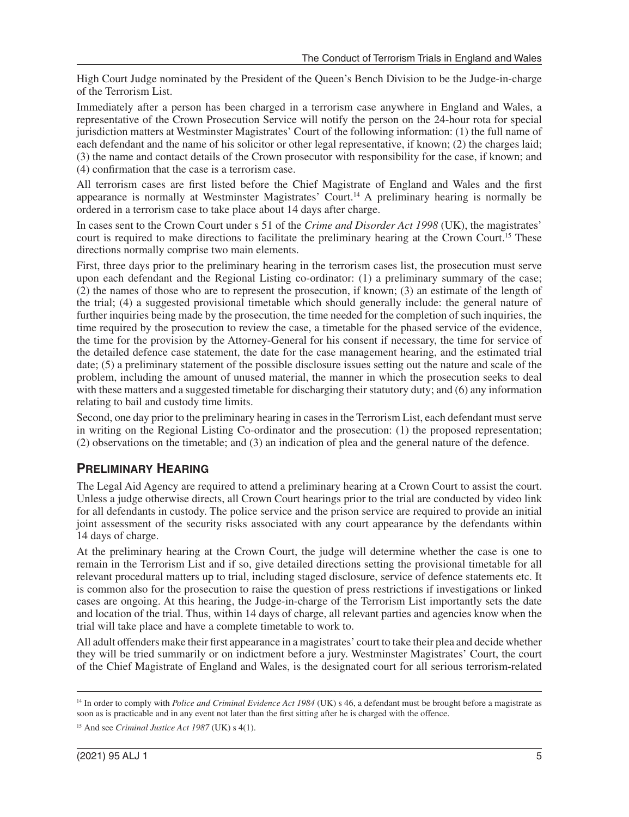High Court Judge nominated by the President of the Queen's Bench Division to be the Judge-in-charge of the Terrorism List.

Immediately after a person has been charged in a terrorism case anywhere in England and Wales, a representative of the Crown Prosecution Service will notify the person on the 24-hour rota for special jurisdiction matters at Westminster Magistrates' Court of the following information: (1) the full name of each defendant and the name of his solicitor or other legal representative, if known; (2) the charges laid; (3) the name and contact details of the Crown prosecutor with responsibility for the case, if known; and (4) confrmation that the case is a terrorism case.

All terrorism cases are frst listed before the Chief Magistrate of England and Wales and the frst appearance is normally at Westminster Magistrates' [Court.14](https://Court.14) A preliminary hearing is normally be ordered in a terrorism case to take place about 14 days after charge.

In cases sent to the Crown Court under s 51 of the *Crime and Disorder Act 1998* (UK), the magistrates' court is required to make directions to facilitate the preliminary hearing at the Crown Court.<sup>15</sup> These directions normally comprise two main elements.

First, three days prior to the preliminary hearing in the terrorism cases list, the prosecution must serve upon each defendant and the Regional Listing co-ordinator: (1) a preliminary summary of the case; (2) the names of those who are to represent the prosecution, if known; (3) an estimate of the length of the trial; (4) a suggested provisional timetable which should generally include: the general nature of further inquiries being made by the prosecution, the time needed for the completion of such inquiries, the time required by the prosecution to review the case, a timetable for the phased service of the evidence, the time for the provision by the Attorney-General for his consent if necessary, the time for service of the detailed defence case statement, the date for the case management hearing, and the estimated trial date; (5) a preliminary statement of the possible disclosure issues setting out the nature and scale of the problem, including the amount of unused material, the manner in which the prosecution seeks to deal with these matters and a suggested timetable for discharging their statutory duty; and (6) any information relating to bail and custody time limits.

Second, one day prior to the preliminary hearing in cases in the Terrorism List, each defendant must serve in writing on the Regional Listing Co-ordinator and the prosecution: (1) the proposed representation; (2) observations on the timetable; and (3) an indication of plea and the general nature of the defence.

# **PRELIMINARY HEARING**

The Legal Aid Agency are required to attend a preliminary hearing at a Crown Court to assist the court. Unless a judge otherwise directs, all Crown Court hearings prior to the trial are conducted by video link for all defendants in custody. The police service and the prison service are required to provide an initial joint assessment of the security risks associated with any court appearance by the defendants within 14 days of charge.

At the preliminary hearing at the Crown Court, the judge will determine whether the case is one to remain in the Terrorism List and if so, give detailed directions setting the provisional timetable for all relevant procedural matters up to trial, including staged disclosure, service of defence statements etc. It is common also for the prosecution to raise the question of press restrictions if investigations or linked cases are ongoing. At this hearing, the Judge-in-charge of the Terrorism List importantly sets the date and location of the trial. Thus, within 14 days of charge, all relevant parties and agencies know when the trial will take place and have a complete timetable to work to.

All adult offenders make their frst appearance in a magistrates' court to take their plea and decide whether they will be tried summarily or on indictment before a jury. Westminster Magistrates' Court, the court of the Chief Magistrate of England and Wales, is the designated court for all serious terrorism-related

<sup>14</sup> In order to comply with *Police and Criminal Evidence Act 1984* (UK) s 46, a defendant must be brought before a magistrate as soon as is practicable and in any event not later than the frst sitting after he is charged with the offence.

<sup>15</sup> And see *Criminal Justice Act 1987* (UK) s 4(1).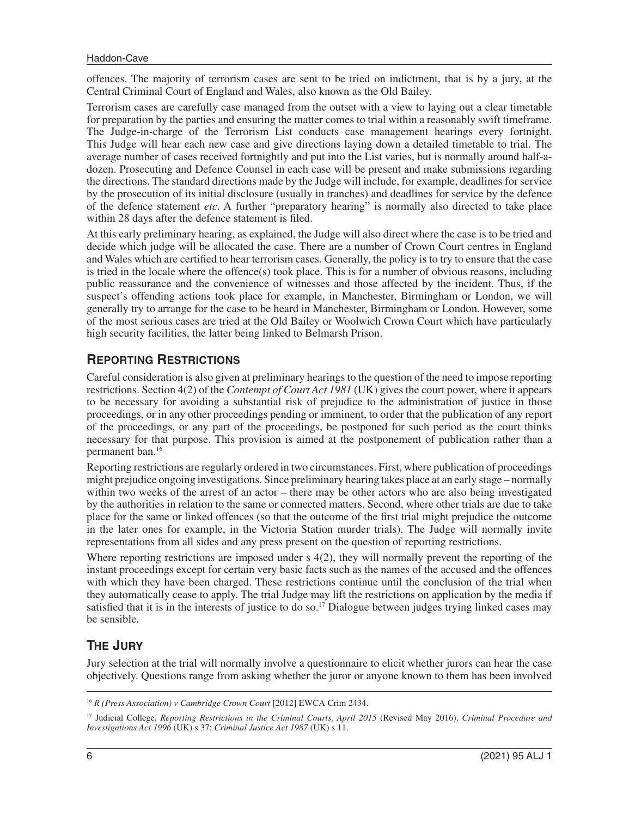offences. The majority of terrorism cases are sent to be tried on indictment, that is by a jury, at the Central Criminal Court of England and Wales, also known as the Old Bailey.

Terrorism cases are carefully case managed from the outset with a view to laying out a clear timetable for preparation by the parties and ensuring the matter comes to trial within a reasonably swift timeframe. The Judge-in-charge of the Terrorism List conducts case management hearings every fortnight. This Judge will hear each new case and give directions laying down a detailed timetable to trial. The average number of cases received fortnightly and put into the List varies, but is normally around half-adozen. Prosecuting and Defence Counsel in each case will be present and make submissions regarding the directions. The standard directions made by the Judge will include, for example, deadlines for service by the prosecution of its initial disclosure (usually in tranches) and deadlines for service by the defence of the defence statement *etc*. A further "preparatory hearing" is normally also directed to take place within 28 days after the defence statement is filed.

At this early preliminary hearing, as explained, the Judge will also direct where the case is to be tried and decide which judge will be allocated the case. There are a number of Crown Court centres in England and Wales which are certifed to hear terrorism cases. Generally, the policy is to try to ensure that the case is tried in the locale where the offence(s) took place. This is for a number of obvious reasons, including public reassurance and the convenience of witnesses and those affected by the incident. Thus, if the suspect's offending actions took place for example, in Manchester, Birmingham or London, we will generally try to arrange for the case to be heard in Manchester, Birmingham or London. However, some of the most serious cases are tried at the Old Bailey or Woolwich Crown Court which have particularly high security facilities, the latter being linked to Belmarsh Prison.

### **REPORTING RESTRICTIONS**

Careful consideration is also given at preliminary hearings to the question of the need to impose reporting restrictions. Section 4(2) of the *Contempt of Court Act 1981* (UK) gives the court power, where it appears to be necessary for avoiding a substantial risk of prejudice to the administration of justice in those proceedings, or in any other proceedings pending or imminent, to order that the publication of any report of the proceedings, or any part of the proceedings, be postponed for such period as the court thinks necessary for that purpose. This provision is aimed at the postponement of publication rather than a permanent ban.16

Reporting restrictions are regularly ordered in two circumstances. First, where publication of proceedings might prejudice ongoing investigations. Since preliminary hearing takes place at an early stage – normally within two weeks of the arrest of an actor – there may be other actors who are also being investigated by the authorities in relation to the same or connected matters. Second, where other trials are due to take place for the same or linked offences (so that the outcome of the frst trial might prejudice the outcome in the later ones for example, in the Victoria Station murder trials). The Judge will normally invite representations from all sides and any press present on the question of reporting restrictions.

Where reporting restrictions are imposed under s 4(2), they will normally prevent the reporting of the instant proceedings except for certain very basic facts such as the names of the accused and the offences with which they have been charged. These restrictions continue until the conclusion of the trial when they automatically cease to apply. The trial Judge may lift the restrictions on application by the media if satisfied that it is in the interests of justice to do so.<sup>17</sup> Dialogue between judges trying linked cases may be sensible.

# **THE JURY**

Jury selection at the trial will normally involve a questionnaire to elicit whether jurors can hear the case objectively. Questions range from asking whether the juror or anyone known to them has been involved

<sup>16</sup>*R (Press Association) v Cambridge Crown Court* [2012] EWCA Crim 2434.

<sup>17</sup> Judicial College, *Reporting Restrictions in the Criminal Courts, April 2015* (Revised May 2016). *Criminal Procedure and Investigations Act 1996* (UK) s 37; *Criminal Justice Act 1987* (UK) s 11.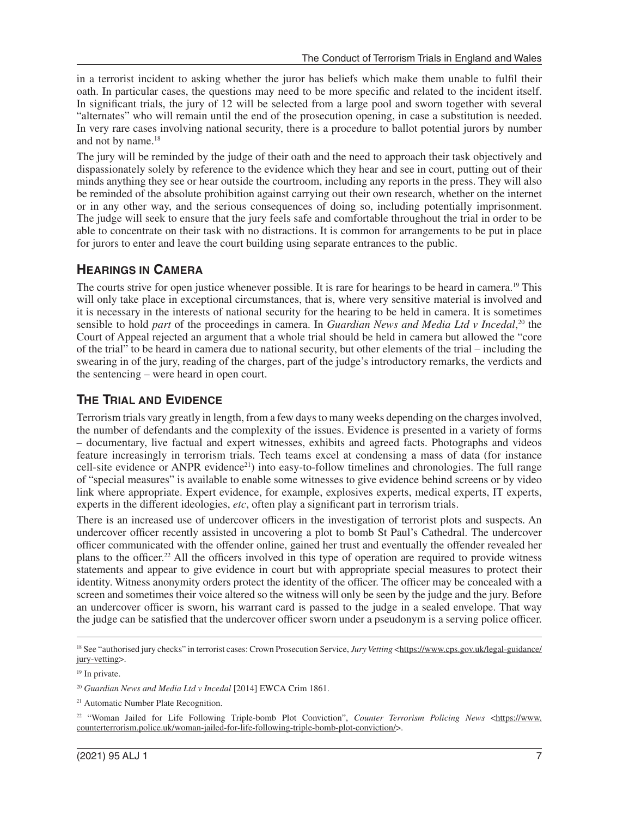in a terrorist incident to asking whether the juror has beliefs which make them unable to fulfl their oath. In particular cases, the questions may need to be more specifc and related to the incident itself. In signifcant trials, the jury of 12 will be selected from a large pool and sworn together with several "alternates" who will remain until the end of the prosecution opening, in case a substitution is needed. In very rare cases involving national security, there is a procedure to ballot potential jurors by number and not by name.18

The jury will be reminded by the judge of their oath and the need to approach their task objectively and dispassionately solely by reference to the evidence which they hear and see in court, putting out of their minds anything they see or hear outside the courtroom, including any reports in the press. They will also be reminded of the absolute prohibition against carrying out their own research, whether on the internet or in any other way, and the serious consequences of doing so, including potentially imprisonment. The judge will seek to ensure that the jury feels safe and comfortable throughout the trial in order to be able to concentrate on their task with no distractions. It is common for arrangements to be put in place for jurors to enter and leave the court building using separate entrances to the public.

# **HEARINGS IN CAMERA**

The courts strive for open justice whenever possible. It is rare for hearings to be heard in camera.<sup>19</sup> This will only take place in exceptional circumstances, that is, where very sensitive material is involved and it is necessary in the interests of national security for the hearing to be held in camera. It is sometimes sensible to hold *part* of the proceedings in camera. In *Guardian News and Media Ltd v Incedal*, 20 the Court of Appeal rejected an argument that a whole trial should be held in camera but allowed the "core of the trial" to be heard in camera due to national security, but other elements of the trial – including the swearing in of the jury, reading of the charges, part of the judge's introductory remarks, the verdicts and the sentencing – were heard in open court.

# **THE TRIAL AND EVIDENCE**

Terrorism trials vary greatly in length, from a few days to many weeks depending on the charges involved, the number of defendants and the complexity of the issues. Evidence is presented in a variety of forms – documentary, live factual and expert witnesses, exhibits and agreed facts. Photographs and videos feature increasingly in terrorism trials. Tech teams excel at condensing a mass of data (for instance cell-site evidence or ANPR evidence<sup>21</sup>) into easy-to-follow timelines and chronologies. The full range of "special measures" is available to enable some witnesses to give evidence behind screens or by video link where appropriate. Expert evidence, for example, explosives experts, medical experts, IT experts, experts in the different ideologies, *etc*, often play a significant part in terrorism trials.

There is an increased use of undercover officers in the investigation of terrorist plots and suspects. An undercover officer recently assisted in uncovering a plot to bomb St Paul's Cathedral. The undercover offcer communicated with the offender online, gained her trust and eventually the offender revealed her plans to the officer.<sup>22</sup> All the officers involved in this type of operation are required to provide witness statements and appear to give evidence in court but with appropriate special measures to protect their identity. Witness anonymity orders protect the identity of the officer. The officer may be concealed with a screen and sometimes their voice altered so the witness will only be seen by the judge and the jury. Before an undercover offcer is sworn, his warrant card is passed to the judge in a sealed envelope. That way the judge can be satisfed that the undercover offcer sworn under a pseudonym is a serving police offcer.

<sup>&</sup>lt;sup>18</sup> See "authorised jury checks" in terrorist cases: Crown Prosecution Service, *Jury Vetting* <[https://www.cps.gov.uk/legal-guidance/](https://www.cps.gov.uk/legal-guidance/jury-vetting) [jury-vetting>](https://www.cps.gov.uk/legal-guidance/jury-vetting).

<sup>&</sup>lt;sup>19</sup> In private.

<sup>20</sup>*Guardian News and Media Ltd v Incedal* [2014] EWCA Crim 1861.

<sup>21</sup> Automatic Number Plate Recognition.

<sup>&</sup>lt;sup>22</sup> "Woman Jailed for Life Following Triple-bomb Plot Conviction", *Counter Terrorism Policing News* [<https://www.](https://www.counterterrorism.police.uk/woman-jailed-for-life-following-triple-bomb-plot-conviction/) [counterterrorism.police.uk/woman-jailed-for-life-following-triple-bomb-plot-conviction/>](https://www.counterterrorism.police.uk/woman-jailed-for-life-following-triple-bomb-plot-conviction/).